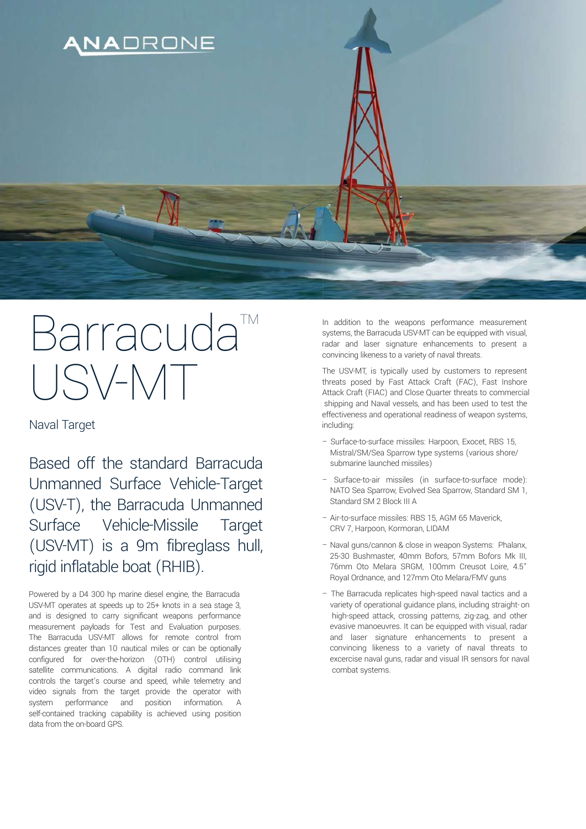

## Barracuda<sup>™</sup> USV-MT

Naval Target

Based off the standard Barracuda Unmanned Surface Vehicle-Target (USV-T), the Barracuda Unmanned Surface Vehicle-Missile Target (USV-MT) is a 9m fibreglass hull, rigid inflatable boat (RHIB).

Powered by a D4 300 hp marine diesel engine, the Barracuda USV-MT operates at speeds up to 25+ knots in a sea stage 3, and is designed to carry significant weapons performance measurement payloads for Test and Evaluation purposes. The Barracuda USV-MT allows for remote control from distances greater than 10 nautical miles or can be optionally configured for over-the-horizon (OTH) control utilising satellite communications. A digital radio command link controls the target's course and speed, while telemetry and video signals from the target provide the operator with system performance and position information. A self-contained tracking capability is achieved using position data from the on-board GPS.

In addition to the weapons performance measurement systems, the Barracuda USV-MT can be equipped with visual, radar and laser signature enhancements to present a convincing likeness to a variety of naval threats.

The USV-MT, is typically used by customers to represent threats posed by Fast Attack Craft (FAC), Fast Inshore Attack Craft (FIAC) and Close Quarter threats to commercial shipping and Naval vessels, and has been used to test the effectiveness and operational readiness of weapon systems, including:

- Surface-to-surface missiles: Harpoon, Exocet, RBS 15, Mistral/SM/Sea Sparrow type systems (various shore/ submarine launched missiles)
- Surface-to-air missiles (in surface-to-surface mode): NATO Sea Sparrow, Evolved Sea Sparrow, Standard SM 1, Standard SM 2 Block III A
- Air-to-surface missiles: RBS 15, AGM 65 Maverick, CRV 7, Harpoon, Kormoran, LIDAM
- Naval guns/cannon & close in weapon Systems: Phalanx, 25-30 Bushmaster, 40mm Bofors, 57mm Bofors Mk III, 76mm Oto Melara SRGM, 100mm Creusot Loire, 4.5" Royal Ordnance, and 127mm Oto Melara/FMV guns
- The Barracuda replicates high-speed naval tactics and a variety of operational guidance plans, including straight-on high-speed attack, crossing patterns, zig-zag, and other evasive manoeuvres. It can be equipped with visual, radar and laser signature enhancements to present a convincing likeness to a variety of naval threats to excercise naval guns, radar and visual IR sensors for naval combat systems.